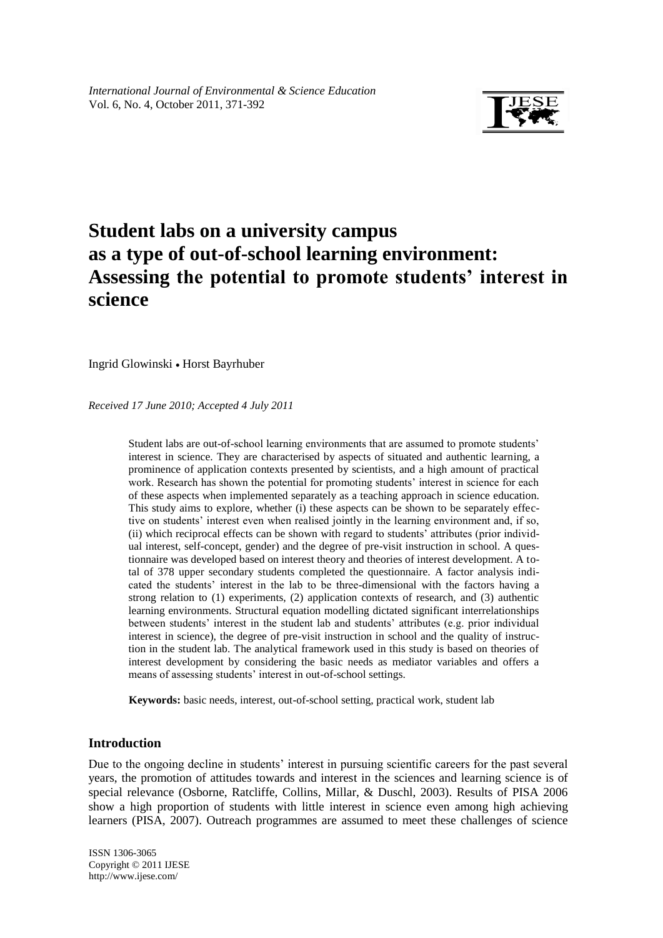

# **Student labs on a university campus as a type of out-of-school learning environment: Assessing the potential to promote students' interest in science**

Ingrid Glowinski • Horst Bayrhuber

*Received 17 June 2010; Accepted 4 July 2011*

Student labs are out-of-school learning environments that are assumed to promote students" interest in science. They are characterised by aspects of situated and authentic learning, a prominence of application contexts presented by scientists, and a high amount of practical work. Research has shown the potential for promoting students' interest in science for each of these aspects when implemented separately as a teaching approach in science education. This study aims to explore, whether (i) these aspects can be shown to be separately effective on students" interest even when realised jointly in the learning environment and, if so, (ii) which reciprocal effects can be shown with regard to students" attributes (prior individual interest, self-concept, gender) and the degree of pre-visit instruction in school. A questionnaire was developed based on interest theory and theories of interest development. A total of 378 upper secondary students completed the questionnaire. A factor analysis indicated the students" interest in the lab to be three-dimensional with the factors having a strong relation to (1) experiments, (2) application contexts of research, and (3) authentic learning environments. Structural equation modelling dictated significant interrelationships between students' interest in the student lab and students' attributes (e.g. prior individual interest in science), the degree of pre-visit instruction in school and the quality of instruction in the student lab. The analytical framework used in this study is based on theories of interest development by considering the basic needs as mediator variables and offers a means of assessing students' interest in out-of-school settings.

**Keywords:** basic needs, interest, out-of-school setting, practical work, student lab

# **Introduction**

Due to the ongoing decline in students' interest in pursuing scientific careers for the past several years, the promotion of attitudes towards and interest in the sciences and learning science is of special relevance (Osborne, Ratcliffe, Collins, Millar, & Duschl, 2003). Results of PISA 2006 show a high proportion of students with little interest in science even among high achieving learners (PISA, 2007). Outreach programmes are assumed to meet these challenges of science

fgjkl ISSN 1306-3065 Copyright © 2011 IJESE <http://www.ijese.com/>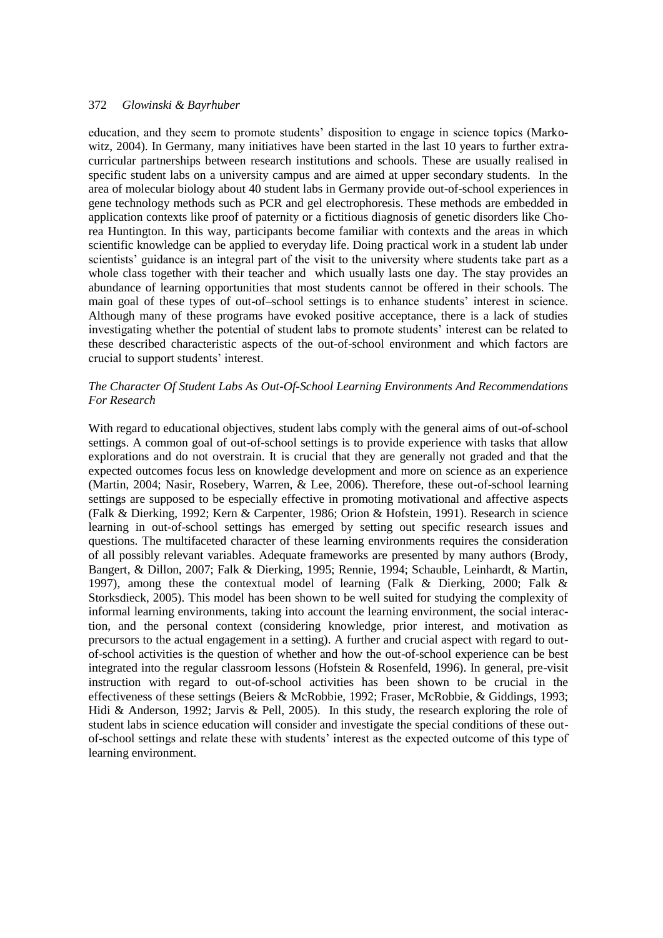education, and they seem to promote students" disposition to engage in science topics (Markowitz, 2004). In Germany, many initiatives have been started in the last 10 years to further extracurricular partnerships between research institutions and schools. These are usually realised in specific student labs on a university campus and are aimed at upper secondary students. In the area of molecular biology about 40 student labs in Germany provide out-of-school experiences in gene technology methods such as PCR and gel electrophoresis. These methods are embedded in application contexts like proof of paternity or a fictitious diagnosis of genetic disorders like Chorea Huntington. In this way, participants become familiar with contexts and the areas in which scientific knowledge can be applied to everyday life. Doing practical work in a student lab under scientists' guidance is an integral part of the visit to the university where students take part as a whole class together with their teacher and which usually lasts one day. The stay provides an abundance of learning opportunities that most students cannot be offered in their schools. The main goal of these types of out-of–school settings is to enhance students" interest in science. Although many of these programs have evoked positive acceptance, there is a lack of studies investigating whether the potential of student labs to promote students" interest can be related to these described characteristic aspects of the out-of-school environment and which factors are crucial to support students" interest.

# *The Character Of Student Labs As Out-Of-School Learning Environments And Recommendations For Research*

With regard to educational objectives, student labs comply with the general aims of out-of-school settings. A common goal of out-of-school settings is to provide experience with tasks that allow explorations and do not overstrain. It is crucial that they are generally not graded and that the expected outcomes focus less on knowledge development and more on science as an experience (Martin, 2004; Nasir, Rosebery, Warren, & Lee, 2006). Therefore, these out-of-school learning settings are supposed to be especially effective in promoting motivational and affective aspects (Falk & Dierking, 1992; Kern & Carpenter, 1986; Orion & Hofstein, 1991). Research in science learning in out-of-school settings has emerged by setting out specific research issues and questions. The multifaceted character of these learning environments requires the consideration of all possibly relevant variables. Adequate frameworks are presented by many authors (Brody, Bangert, & Dillon, 2007; Falk & Dierking, 1995; Rennie, 1994; Schauble, Leinhardt, & Martin, 1997), among these the contextual model of learning (Falk & Dierking, 2000; Falk & Storksdieck, 2005). This model has been shown to be well suited for studying the complexity of informal learning environments, taking into account the learning environment, the social interaction, and the personal context (considering knowledge, prior interest, and motivation as precursors to the actual engagement in a setting). A further and crucial aspect with regard to outof-school activities is the question of whether and how the out-of-school experience can be best integrated into the regular classroom lessons (Hofstein & Rosenfeld, 1996). In general, pre-visit instruction with regard to out-of-school activities has been shown to be crucial in the effectiveness of these settings (Beiers & McRobbie, 1992; Fraser, McRobbie, & Giddings, 1993; Hidi & Anderson, 1992; Jarvis & Pell, 2005). In this study, the research exploring the role of student labs in science education will consider and investigate the special conditions of these outof-school settings and relate these with students" interest as the expected outcome of this type of learning environment.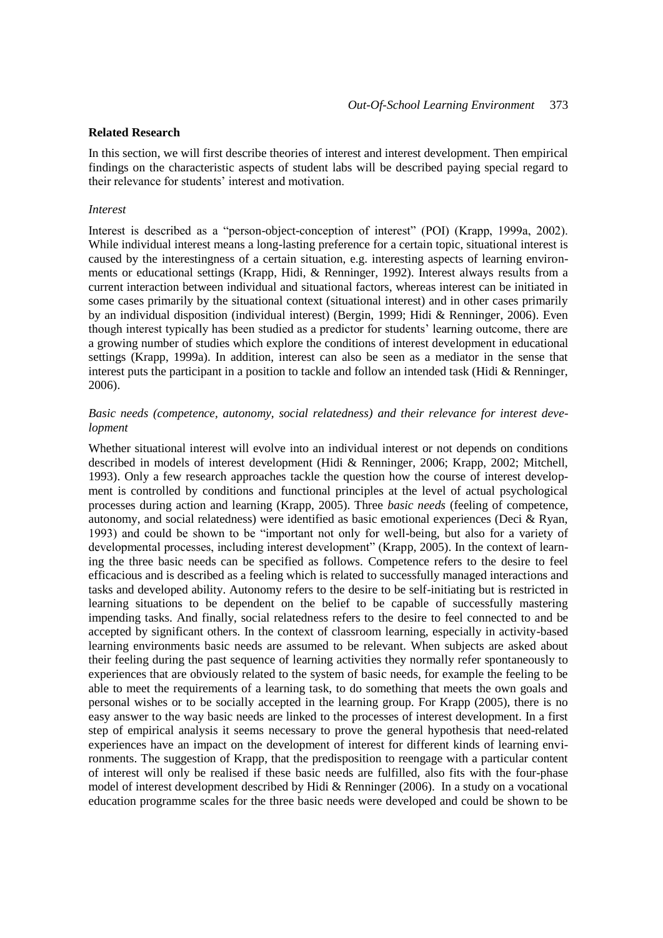#### **Related Research**

In this section, we will first describe theories of interest and interest development. Then empirical findings on the characteristic aspects of student labs will be described paying special regard to their relevance for students' interest and motivation.

#### *Interest*

Interest is described as a "person-object-conception of interest" (POI) (Krapp, 1999a, 2002). While individual interest means a long-lasting preference for a certain topic, situational interest is caused by the interestingness of a certain situation, e.g. interesting aspects of learning environments or educational settings (Krapp, Hidi, & Renninger, 1992). Interest always results from a current interaction between individual and situational factors, whereas interest can be initiated in some cases primarily by the situational context (situational interest) and in other cases primarily by an individual disposition (individual interest) (Bergin, 1999; Hidi & Renninger, 2006). Even though interest typically has been studied as a predictor for students" learning outcome, there are a growing number of studies which explore the conditions of interest development in educational settings (Krapp, 1999a). In addition, interest can also be seen as a mediator in the sense that interest puts the participant in a position to tackle and follow an intended task (Hidi & Renninger, 2006).

# *Basic needs (competence, autonomy, social relatedness) and their relevance for interest development*

Whether situational interest will evolve into an individual interest or not depends on conditions described in models of interest development (Hidi & Renninger, 2006; Krapp, 2002; Mitchell, 1993). Only a few research approaches tackle the question how the course of interest development is controlled by conditions and functional principles at the level of actual psychological processes during action and learning (Krapp, 2005). Three *basic needs* (feeling of competence, autonomy, and social relatedness) were identified as basic emotional experiences (Deci & Ryan, 1993) and could be shown to be "important not only for well-being, but also for a variety of developmental processes, including interest development" (Krapp, 2005). In the context of learning the three basic needs can be specified as follows. Competence refers to the desire to feel efficacious and is described as a feeling which is related to successfully managed interactions and tasks and developed ability. Autonomy refers to the desire to be self-initiating but is restricted in learning situations to be dependent on the belief to be capable of successfully mastering impending tasks. And finally, social relatedness refers to the desire to feel connected to and be accepted by significant others. In the context of classroom learning, especially in activity-based learning environments basic needs are assumed to be relevant. When subjects are asked about their feeling during the past sequence of learning activities they normally refer spontaneously to experiences that are obviously related to the system of basic needs, for example the feeling to be able to meet the requirements of a learning task, to do something that meets the own goals and personal wishes or to be socially accepted in the learning group. For Krapp (2005), there is no easy answer to the way basic needs are linked to the processes of interest development. In a first step of empirical analysis it seems necessary to prove the general hypothesis that need-related experiences have an impact on the development of interest for different kinds of learning environments. The suggestion of Krapp, that the predisposition to reengage with a particular content of interest will only be realised if these basic needs are fulfilled, also fits with the four-phase model of interest development described by Hidi & Renninger (2006). In a study on a vocational education programme scales for the three basic needs were developed and could be shown to be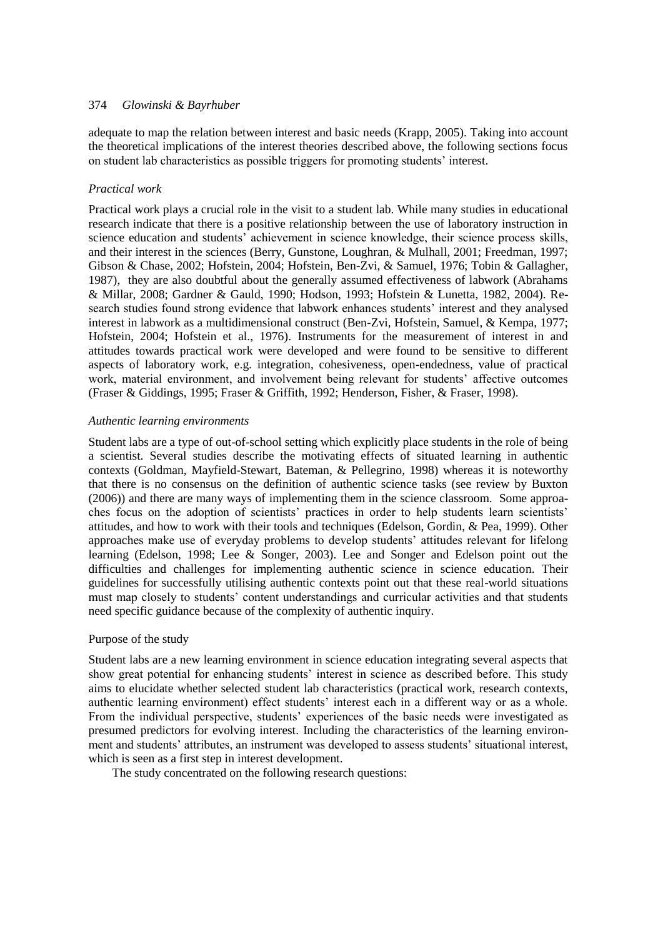adequate to map the relation between interest and basic needs (Krapp, 2005). Taking into account the theoretical implications of the interest theories described above, the following sections focus on student lab characteristics as possible triggers for promoting students" interest.

# *Practical work*

Practical work plays a crucial role in the visit to a student lab. While many studies in educational research indicate that there is a positive relationship between the use of laboratory instruction in science education and students" achievement in science knowledge, their science process skills, and their interest in the sciences (Berry, Gunstone, Loughran, & Mulhall, 2001; Freedman, 1997; Gibson & Chase, 2002; Hofstein, 2004; Hofstein, Ben-Zvi, & Samuel, 1976; Tobin & Gallagher, 1987), they are also doubtful about the generally assumed effectiveness of labwork (Abrahams & Millar, 2008; Gardner & Gauld, 1990; Hodson, 1993; Hofstein & Lunetta, 1982, 2004). Research studies found strong evidence that labwork enhances students" interest and they analysed interest in labwork as a multidimensional construct (Ben-Zvi, Hofstein, Samuel, & Kempa, 1977; Hofstein, 2004; Hofstein et al., 1976). Instruments for the measurement of interest in and attitudes towards practical work were developed and were found to be sensitive to different aspects of laboratory work, e.g. integration, cohesiveness, open-endedness, value of practical work, material environment, and involvement being relevant for students" affective outcomes (Fraser & Giddings, 1995; Fraser & Griffith, 1992; Henderson, Fisher, & Fraser, 1998).

### *Authentic learning environments*

Student labs are a type of out-of-school setting which explicitly place students in the role of being a scientist. Several studies describe the motivating effects of situated learning in authentic contexts (Goldman, Mayfield-Stewart, Bateman, & Pellegrino, 1998) whereas it is noteworthy that there is no consensus on the definition of authentic science tasks (see review by Buxton (2006)) and there are many ways of implementing them in the science classroom. Some approaches focus on the adoption of scientists' practices in order to help students learn scientists' attitudes, and how to work with their tools and techniques (Edelson, Gordin, & Pea, 1999). Other approaches make use of everyday problems to develop students" attitudes relevant for lifelong learning (Edelson, 1998; Lee & Songer, 2003). Lee and Songer and Edelson point out the difficulties and challenges for implementing authentic science in science education. Their guidelines for successfully utilising authentic contexts point out that these real-world situations must map closely to students" content understandings and curricular activities and that students need specific guidance because of the complexity of authentic inquiry.

## Purpose of the study

Student labs are a new learning environment in science education integrating several aspects that show great potential for enhancing students" interest in science as described before. This study aims to elucidate whether selected student lab characteristics (practical work, research contexts, authentic learning environment) effect students' interest each in a different way or as a whole. From the individual perspective, students" experiences of the basic needs were investigated as presumed predictors for evolving interest. Including the characteristics of the learning environment and students' attributes, an instrument was developed to assess students' situational interest, which is seen as a first step in interest development.

The study concentrated on the following research questions: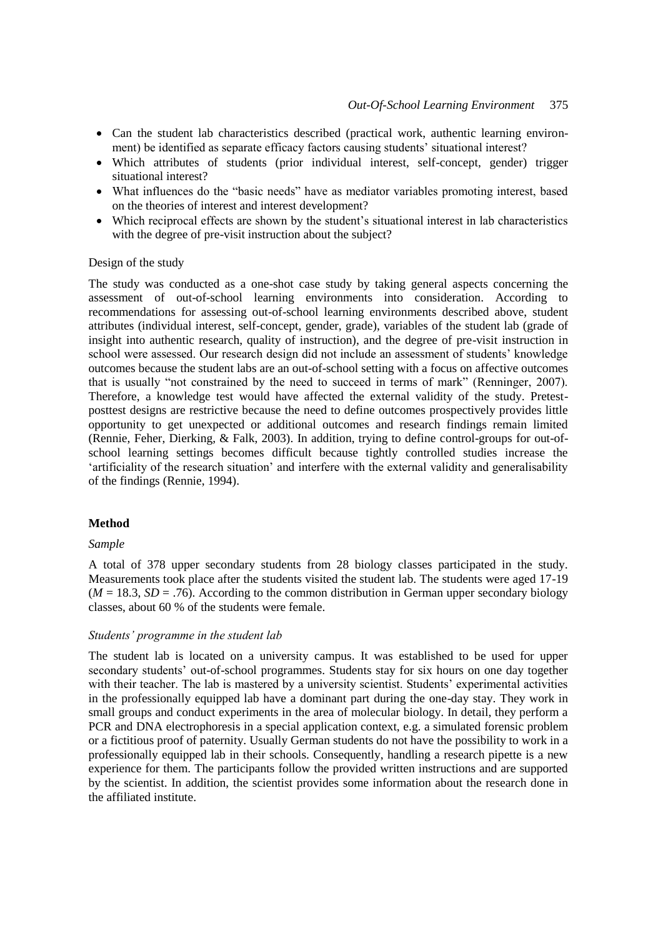- Can the student lab characteristics described (practical work, authentic learning environment) be identified as separate efficacy factors causing students' situational interest?
- Which attributes of students (prior individual interest, self-concept, gender) trigger situational interest?
- What influences do the "basic needs" have as mediator variables promoting interest, based on the theories of interest and interest development?
- Which reciprocal effects are shown by the student"s situational interest in lab characteristics with the degree of pre-visit instruction about the subject?

## Design of the study

The study was conducted as a one-shot case study by taking general aspects concerning the assessment of out-of-school learning environments into consideration. According to recommendations for assessing out-of-school learning environments described above, student attributes (individual interest, self-concept, gender, grade), variables of the student lab (grade of insight into authentic research, quality of instruction), and the degree of pre-visit instruction in school were assessed. Our research design did not include an assessment of students" knowledge outcomes because the student labs are an out-of-school setting with a focus on affective outcomes that is usually "not constrained by the need to succeed in terms of mark" (Renninger, 2007). Therefore, a knowledge test would have affected the external validity of the study. Pretestposttest designs are restrictive because the need to define outcomes prospectively provides little opportunity to get unexpected or additional outcomes and research findings remain limited (Rennie, Feher, Dierking, & Falk, 2003). In addition, trying to define control-groups for out-ofschool learning settings becomes difficult because tightly controlled studies increase the "artificiality of the research situation" and interfere with the external validity and generalisability of the findings (Rennie, 1994).

#### **Method**

## *Sample*

A total of 378 upper secondary students from 28 biology classes participated in the study. Measurements took place after the students visited the student lab. The students were aged 17-19  $(M = 18.3, SD = .76)$ . According to the common distribution in German upper secondary biology classes, about 60 % of the students were female.

#### *Students' programme in the student lab*

The student lab is located on a university campus. It was established to be used for upper secondary students' out-of-school programmes. Students stay for six hours on one day together with their teacher. The lab is mastered by a university scientist. Students' experimental activities in the professionally equipped lab have a dominant part during the one-day stay. They work in small groups and conduct experiments in the area of molecular biology. In detail, they perform a PCR and DNA electrophoresis in a special application context, e.g. a simulated forensic problem or a fictitious proof of paternity. Usually German students do not have the possibility to work in a professionally equipped lab in their schools. Consequently, handling a research pipette is a new experience for them. The participants follow the provided written instructions and are supported by the scientist. In addition, the scientist provides some information about the research done in the affiliated institute.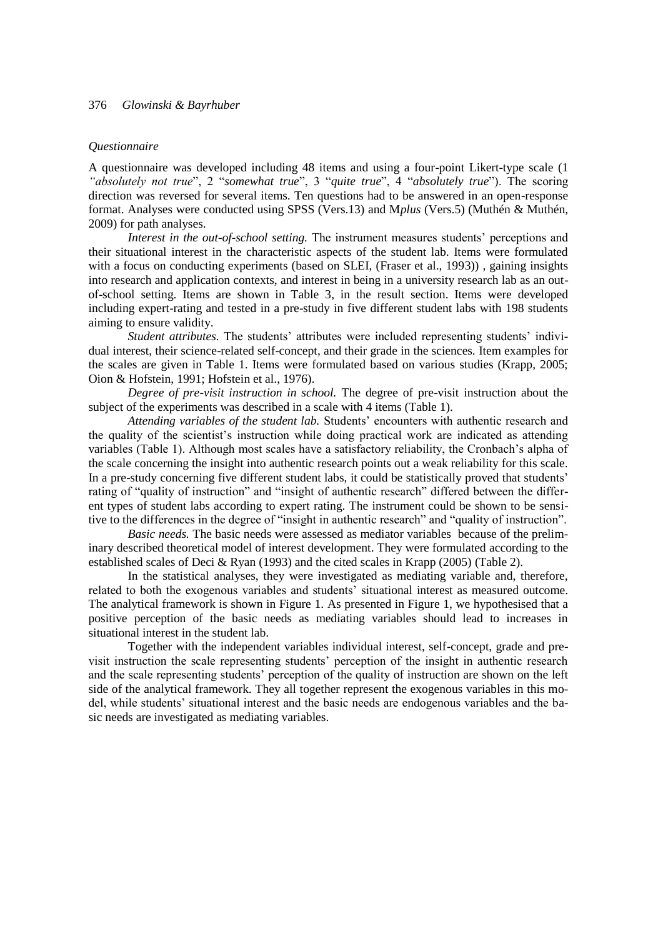#### *Questionnaire*

A questionnaire was developed including 48 items and using a four-point Likert-type scale (1 *"absolutely not true*", 2 "*somewhat true*", 3 "*quite true*", 4 "*absolutely true*"). The scoring direction was reversed for several items. Ten questions had to be answered in an open-response format. Analyses were conducted using SPSS (Vers.13) and M*plus* (Vers.5) (Muthén & Muthén, 2009) for path analyses*.* 

*Interest in the out-of-school setting.* The instrument measures students' perceptions and their situational interest in the characteristic aspects of the student lab. Items were formulated with a focus on conducting experiments (based on SLEI, (Fraser et al., 1993)), gaining insights into research and application contexts, and interest in being in a university research lab as an outof-school setting. Items are shown in Table 3, in the result section. Items were developed including expert-rating and tested in a pre-study in five different student labs with 198 students aiming to ensure validity.

*Student attributes*. The students' attributes were included representing students' individual interest, their science-related self-concept, and their grade in the sciences. Item examples for the scales are given in Table 1. Items were formulated based on various studies (Krapp, 2005; Oion & Hofstein, 1991; Hofstein et al., 1976).

*Degree of pre-visit instruction in school.* The degree of pre-visit instruction about the subject of the experiments was described in a scale with 4 items (Table 1).

*Attending variables of the student lab.* Students" encounters with authentic research and the quality of the scientist"s instruction while doing practical work are indicated as attending variables (Table 1). Although most scales have a satisfactory reliability, the Cronbach"s alpha of the scale concerning the insight into authentic research points out a weak reliability for this scale. In a pre-study concerning five different student labs, it could be statistically proved that students' rating of "quality of instruction" and "insight of authentic research" differed between the different types of student labs according to expert rating. The instrument could be shown to be sensitive to the differences in the degree of "insight in authentic research" and "quality of instruction".

*Basic needs.* The basic needs were assessed as mediator variables because of the preliminary described theoretical model of interest development. They were formulated according to the established scales of Deci & Ryan (1993) and the cited scales in Krapp (2005) (Table 2).

In the statistical analyses, they were investigated as mediating variable and, therefore, related to both the exogenous variables and students' situational interest as measured outcome. The analytical framework is shown in Figure 1. As presented in Figure 1, we hypothesised that a positive perception of the basic needs as mediating variables should lead to increases in situational interest in the student lab.

Together with the independent variables individual interest, self-concept, grade and previsit instruction the scale representing students" perception of the insight in authentic research and the scale representing students' perception of the quality of instruction are shown on the left side of the analytical framework. They all together represent the exogenous variables in this model, while students" situational interest and the basic needs are endogenous variables and the basic needs are investigated as mediating variables.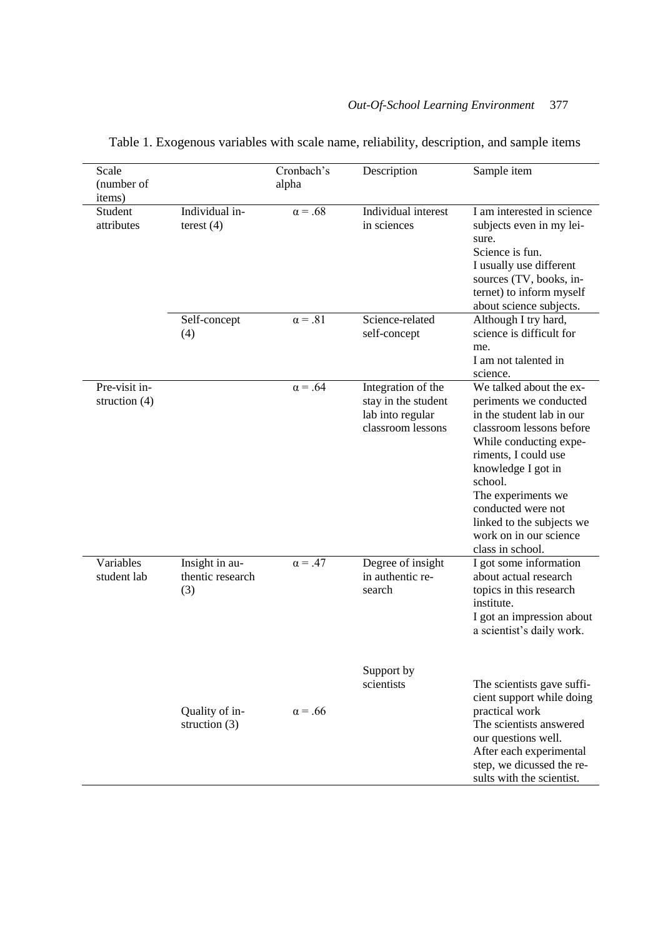| Scale<br>(number of<br>items)    |                                           | Cronbach's<br>alpha | Description                                                                        | Sample item                                                                                                                                                                                                                                                                                                          |
|----------------------------------|-------------------------------------------|---------------------|------------------------------------------------------------------------------------|----------------------------------------------------------------------------------------------------------------------------------------------------------------------------------------------------------------------------------------------------------------------------------------------------------------------|
| Student<br>attributes            | Individual in-<br>terest $(4)$            | $\alpha = .68$      | Individual interest<br>in sciences                                                 | I am interested in science<br>subjects even in my lei-<br>sure.<br>Science is fun.<br>I usually use different<br>sources (TV, books, in-<br>ternet) to inform myself<br>about science subjects.                                                                                                                      |
|                                  | Self-concept<br>(4)                       | $\alpha = .81$      | Science-related<br>self-concept                                                    | Although I try hard,<br>science is difficult for<br>me.<br>I am not talented in<br>science.                                                                                                                                                                                                                          |
| Pre-visit in-<br>struction $(4)$ |                                           | $\alpha = .64$      | Integration of the<br>stay in the student<br>lab into regular<br>classroom lessons | We talked about the ex-<br>periments we conducted<br>in the student lab in our<br>classroom lessons before<br>While conducting expe-<br>riments, I could use<br>knowledge I got in<br>school.<br>The experiments we<br>conducted were not<br>linked to the subjects we<br>work on in our science<br>class in school. |
| Variables<br>student lab         | Insight in au-<br>thentic research<br>(3) | $\alpha = .47$      | Degree of insight<br>in authentic re-<br>search                                    | I got some information<br>about actual research<br>topics in this research<br>institute.<br>I got an impression about<br>a scientist's daily work.                                                                                                                                                                   |
|                                  | Quality of in-<br>struction $(3)$         | $\alpha = .66$      | Support by<br>scientists                                                           | The scientists gave suffi-<br>cient support while doing<br>practical work<br>The scientists answered<br>our questions well.<br>After each experimental<br>step, we dicussed the re-<br>sults with the scientist.                                                                                                     |

Table 1. Exogenous variables with scale name, reliability, description, and sample items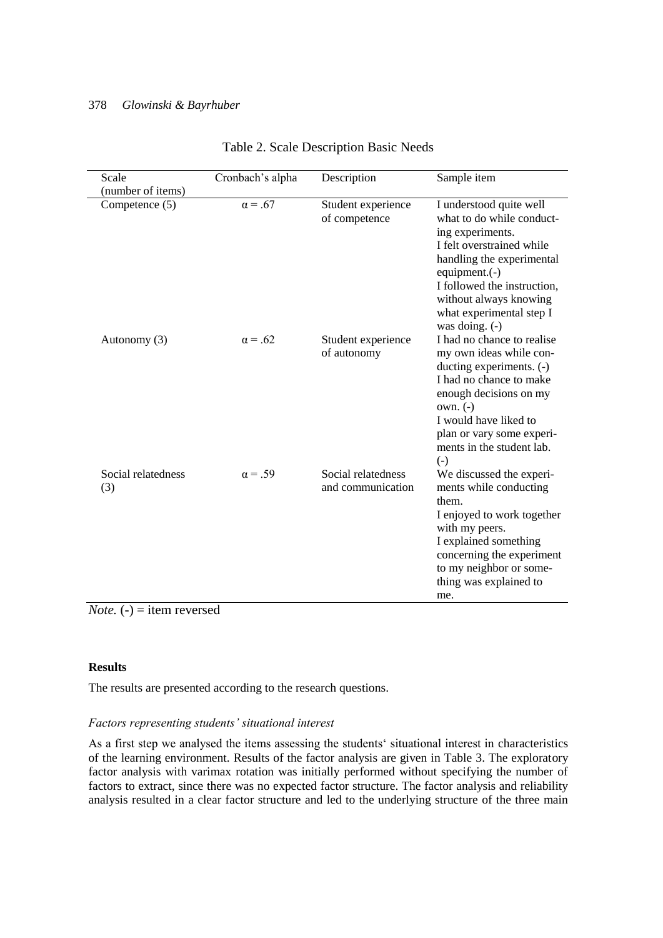| Scale                     | Cronbach's alpha | Description                             | Sample item                                                                                                                                                                                                                                                     |
|---------------------------|------------------|-----------------------------------------|-----------------------------------------------------------------------------------------------------------------------------------------------------------------------------------------------------------------------------------------------------------------|
| (number of items)         |                  |                                         |                                                                                                                                                                                                                                                                 |
| Competence (5)            | $\alpha = .67$   | Student experience<br>of competence     | I understood quite well<br>what to do while conduct-<br>ing experiments.<br>I felt overstrained while<br>handling the experimental<br>equipment. $(-)$<br>I followed the instruction,<br>without always knowing<br>what experimental step I<br>was doing. $(-)$ |
| Autonomy (3)              | $\alpha = .62$   | Student experience<br>of autonomy       | I had no chance to realise<br>my own ideas while con-<br>ducting experiments. (-)<br>I had no chance to make<br>enough decisions on my<br>$own. (-)$<br>I would have liked to<br>plan or vary some experi-<br>ments in the student lab.<br>$(-)$                |
| Social relatedness<br>(3) | $\alpha = .59$   | Social relatedness<br>and communication | We discussed the experi-<br>ments while conducting<br>them.<br>I enjoyed to work together<br>with my peers.<br>I explained something<br>concerning the experiment<br>to my neighbor or some-<br>thing was explained to<br>me.                                   |

*Note.* (-) = item reversed

# **Results**

The results are presented according to the research questions.

## *Factors representing students' situational interest*

As a first step we analysed the items assessing the students' situational interest in characteristics of the learning environment. Results of the factor analysis are given in Table 3. The exploratory factor analysis with varimax rotation was initially performed without specifying the number of factors to extract, since there was no expected factor structure. The factor analysis and reliability analysis resulted in a clear factor structure and led to the underlying structure of the three main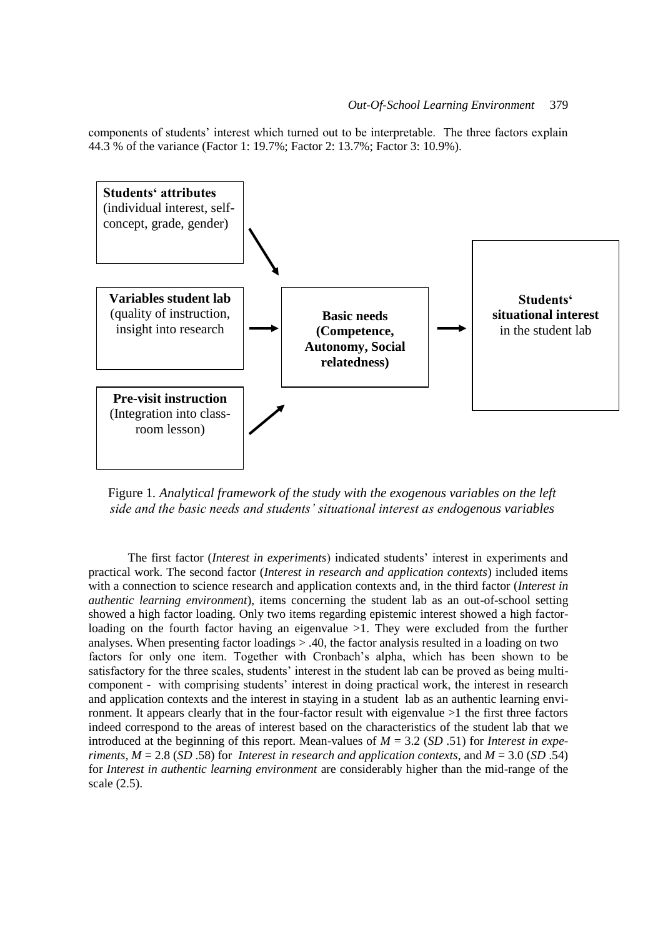components of students" interest which turned out to be interpretable. The three factors explain 44.3 % of the variance (Factor 1: 19.7%; Factor 2: 13.7%; Factor 3: 10.9%).



Figure 1*. Analytical framework of the study with the exogenous variables on the left side and the basic needs and students' situational interest as endogenous variables*

The first factor (*Interest in experiments*) indicated students" interest in experiments and practical work. The second factor (*Interest in research and application contexts*) included items with a connection to science research and application contexts and, in the third factor (*Interest in authentic learning environment*), items concerning the student lab as an out-of-school setting showed a high factor loading. Only two items regarding epistemic interest showed a high factorloading on the fourth factor having an eigenvalue >1. They were excluded from the further analyses. When presenting factor loadings > .40, the factor analysis resulted in a loading on two factors for only one item. Together with Cronbach"s alpha, which has been shown to be satisfactory for the three scales, students' interest in the student lab can be proved as being multicomponent - with comprising students" interest in doing practical work, the interest in research and application contexts and the interest in staying in a student lab as an authentic learning environment. It appears clearly that in the four-factor result with eigenvalue >1 the first three factors indeed correspond to the areas of interest based on the characteristics of the student lab that we introduced at the beginning of this report. Mean-values of *M* = 3.2 (*SD* .51) for *Interest in experiments*, *M* = 2.8 (*SD* .58) for *Interest in research and application contexts*, and *M* = 3.0 (*SD* .54) for *Interest in authentic learning environment* are considerably higher than the mid-range of the scale (2.5).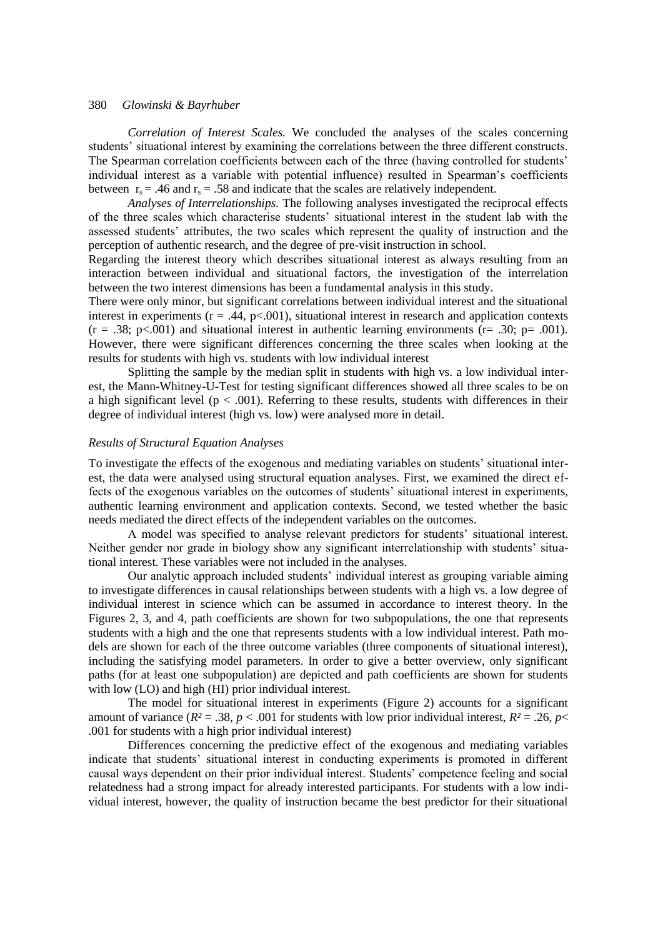*Correlation of Interest Scales.* We concluded the analyses of the scales concerning students" situational interest by examining the correlations between the three different constructs. The Spearman correlation coefficients between each of the three (having controlled for students' individual interest as a variable with potential influence) resulted in Spearman"s coefficients between  $r_s = .46$  and  $r_s = .58$  and indicate that the scales are relatively independent.

*Analyses of Interrelationships.* The following analyses investigated the reciprocal effects of the three scales which characterise students" situational interest in the student lab with the assessed students" attributes, the two scales which represent the quality of instruction and the perception of authentic research, and the degree of pre-visit instruction in school.

Regarding the interest theory which describes situational interest as always resulting from an interaction between individual and situational factors, the investigation of the interrelation between the two interest dimensions has been a fundamental analysis in this study.

There were only minor, but significant correlations between individual interest and the situational interest in experiments ( $r = .44$ ,  $p < .001$ ), situational interest in research and application contexts  $(r = .38; p<0.001)$  and situational interest in authentic learning environments (r= .30; p= .001). However, there were significant differences concerning the three scales when looking at the results for students with high vs. students with low individual interest

Splitting the sample by the median split in students with high vs. a low individual interest, the Mann-Whitney-U-Test for testing significant differences showed all three scales to be on a high significant level ( $p < .001$ ). Referring to these results, students with differences in their degree of individual interest (high vs. low) were analysed more in detail.

#### *Results of Structural Equation Analyses*

To investigate the effects of the exogenous and mediating variables on students" situational interest, the data were analysed using structural equation analyses. First, we examined the direct effects of the exogenous variables on the outcomes of students' situational interest in experiments, authentic learning environment and application contexts. Second, we tested whether the basic needs mediated the direct effects of the independent variables on the outcomes.

A model was specified to analyse relevant predictors for students" situational interest. Neither gender nor grade in biology show any significant interrelationship with students" situational interest. These variables were not included in the analyses.

Our analytic approach included students' individual interest as grouping variable aiming to investigate differences in causal relationships between students with a high vs. a low degree of individual interest in science which can be assumed in accordance to interest theory. In the Figures 2, 3, and 4, path coefficients are shown for two subpopulations, the one that represents students with a high and the one that represents students with a low individual interest. Path models are shown for each of the three outcome variables (three components of situational interest), including the satisfying model parameters. In order to give a better overview, only significant paths (for at least one subpopulation) are depicted and path coefficients are shown for students with low (LO) and high (HI) prior individual interest.

The model for situational interest in experiments (Figure 2) accounts for a significant amount of variance ( $R^2 = .38$ ,  $p < .001$  for students with low prior individual interest,  $R^2 = .26$ ,  $p <$ .001 for students with a high prior individual interest)

Differences concerning the predictive effect of the exogenous and mediating variables indicate that students" situational interest in conducting experiments is promoted in different causal ways dependent on their prior individual interest. Students" competence feeling and social relatedness had a strong impact for already interested participants. For students with a low individual interest, however, the quality of instruction became the best predictor for their situational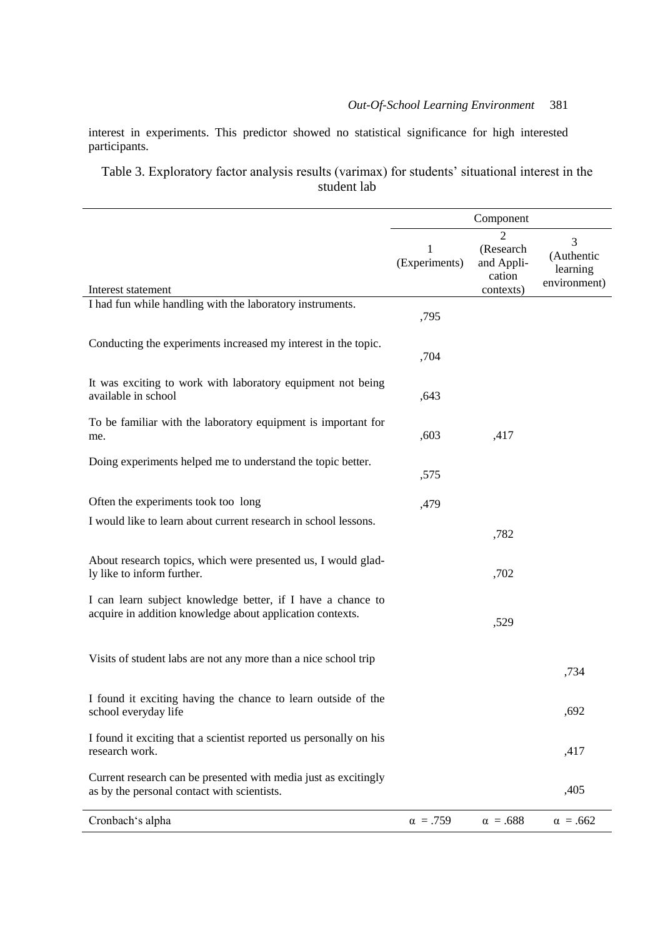interest in experiments. This predictor showed no statistical significance for high interested participants.

Table 3. Exploratory factor analysis results (varimax) for students' situational interest in the student lab

|                                                                                                                          |                    | Component                                           |                                             |
|--------------------------------------------------------------------------------------------------------------------------|--------------------|-----------------------------------------------------|---------------------------------------------|
| Interest statement                                                                                                       | 1<br>(Experiments) | 2<br>(Research<br>and Appli-<br>cation<br>contexts) | 3<br>(Authentic<br>learning<br>environment) |
| I had fun while handling with the laboratory instruments.                                                                |                    |                                                     |                                             |
|                                                                                                                          | ,795               |                                                     |                                             |
| Conducting the experiments increased my interest in the topic.                                                           | ,704               |                                                     |                                             |
| It was exciting to work with laboratory equipment not being<br>available in school                                       | ,643               |                                                     |                                             |
| To be familiar with the laboratory equipment is important for<br>me.                                                     | ,603               | ,417                                                |                                             |
| Doing experiments helped me to understand the topic better.                                                              | ,575               |                                                     |                                             |
| Often the experiments took too long                                                                                      | ,479               |                                                     |                                             |
| I would like to learn about current research in school lessons.                                                          |                    |                                                     |                                             |
|                                                                                                                          |                    | ,782                                                |                                             |
| About research topics, which were presented us, I would glad-<br>ly like to inform further.                              |                    | ,702                                                |                                             |
| I can learn subject knowledge better, if I have a chance to<br>acquire in addition knowledge about application contexts. |                    | ,529                                                |                                             |
| Visits of student labs are not any more than a nice school trip                                                          |                    |                                                     | ,734                                        |
| I found it exciting having the chance to learn outside of the<br>school everyday life                                    |                    |                                                     | ,692                                        |
| I found it exciting that a scientist reported us personally on his<br>research work.                                     |                    |                                                     | ,417                                        |
| Current research can be presented with media just as excitingly<br>as by the personal contact with scientists.           |                    |                                                     | ,405                                        |
| Cronbach's alpha                                                                                                         | $\alpha = .759$    | $\alpha = .688$                                     | $\alpha = .662$                             |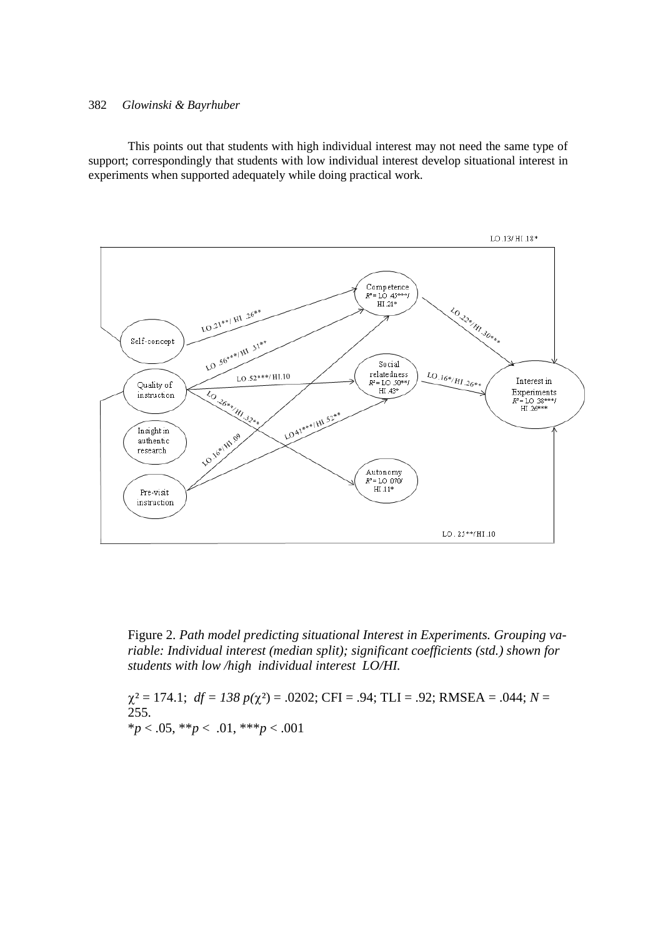This points out that students with high individual interest may not need the same type of support; correspondingly that students with low individual interest develop situational interest in experiments when supported adequately while doing practical work.



Figure 2. *Path model predicting situational Interest in Experiments. Grouping variable: Individual interest (median split); significant coefficients (std.) shown for students with low /high individual interest LO/HI.* 

 $\chi^2 = 174.1$ ;  $df = 138 p(\chi^2) = .0202$ ; CFI = .94; TLI = .92; RMSEA = .044; *N* = 255. \**p* < .05, \*\**p* < .01, \*\*\**p* < .001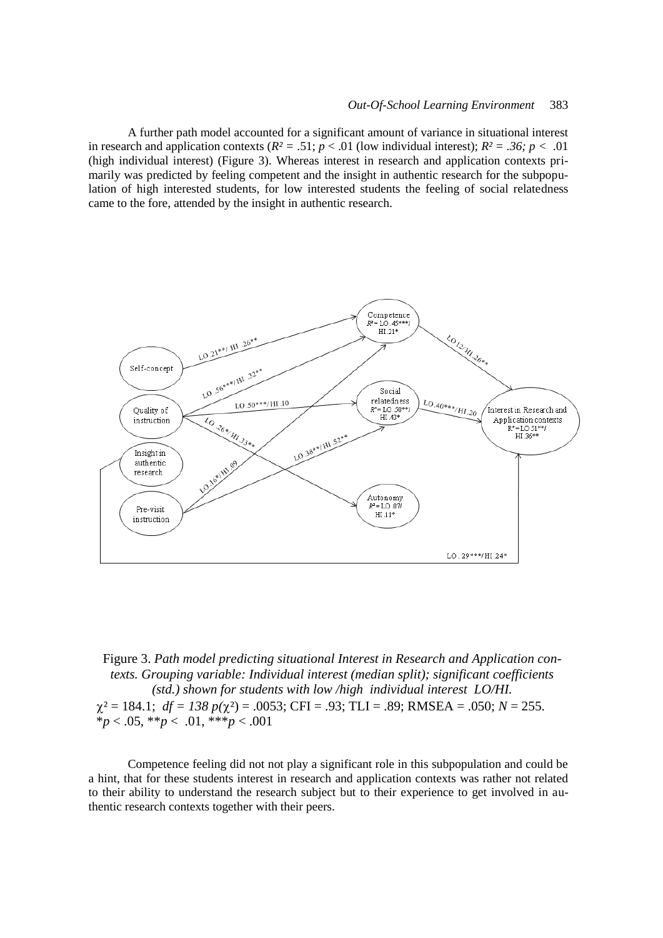A further path model accounted for a significant amount of variance in situational interest in research and application contexts  $(R^2 = .51; p < .01$  (low individual interest);  $R^2 = .36; p < .01$ (high individual interest) (Figure 3). Whereas interest in research and application contexts primarily was predicted by feeling competent and the insight in authentic research for the subpopulation of high interested students, for low interested students the feeling of social relatedness came to the fore, attended by the insight in authentic research.



Figure 3. *Path model predicting situational Interest in Research and Application contexts. Grouping variable: Individual interest (median split); significant coefficients (std.) shown for students with low /high individual interest LO/HI.*  $\chi^2 = 184.1$ ;  $df = 138 p(\chi^2) = .0053$ ; CFI = .93; TLI = .89; RMSEA = .050; *N* = 255. \**p* < .05, \*\**p* < .01, \*\*\**p* < .001

Competence feeling did not not play a significant role in this subpopulation and could be a hint, that for these students interest in research and application contexts was rather not related to their ability to understand the research subject but to their experience to get involved in authentic research contexts together with their peers.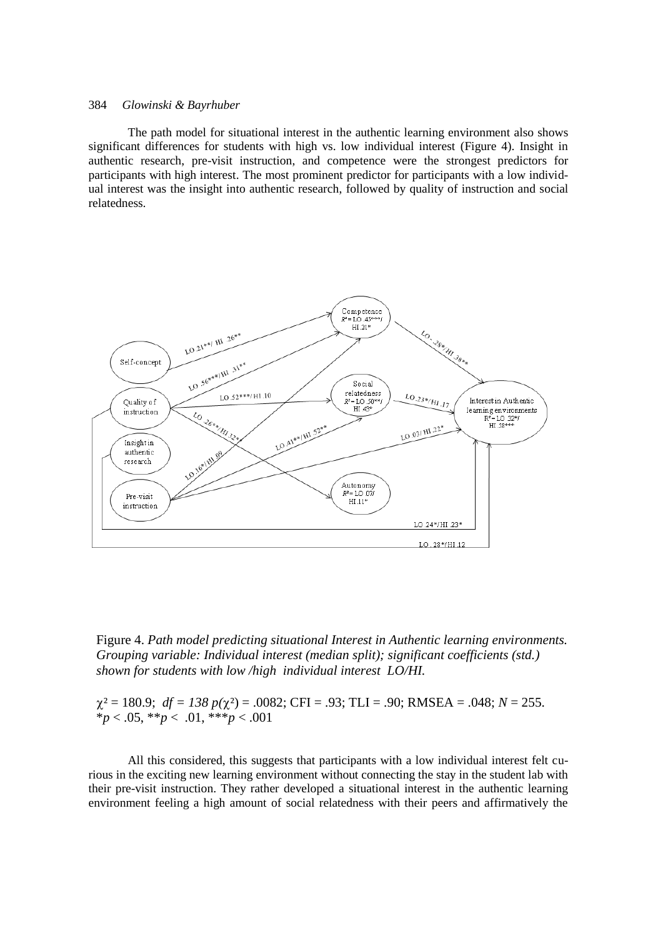The path model for situational interest in the authentic learning environment also shows significant differences for students with high vs. low individual interest (Figure 4). Insight in authentic research, pre-visit instruction, and competence were the strongest predictors for participants with high interest. The most prominent predictor for participants with a low individual interest was the insight into authentic research, followed by quality of instruction and social relatedness.





 $\chi^2 = 180.9$ ;  $df = 138 p(\chi^2) = .0082$ ; CFI = .93; TLI = .90; RMSEA = .048; *N* = 255. \**p* < .05, \*\**p* < .01, \*\*\**p* < .001

All this considered, this suggests that participants with a low individual interest felt curious in the exciting new learning environment without connecting the stay in the student lab with their pre-visit instruction. They rather developed a situational interest in the authentic learning environment feeling a high amount of social relatedness with their peers and affirmatively the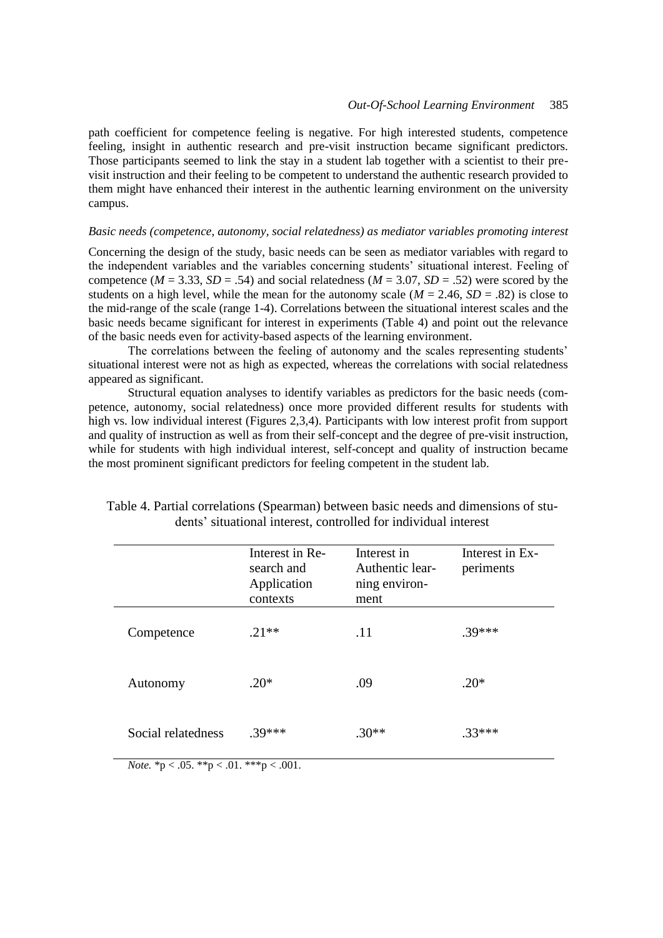path coefficient for competence feeling is negative. For high interested students, competence feeling, insight in authentic research and pre-visit instruction became significant predictors. Those participants seemed to link the stay in a student lab together with a scientist to their previsit instruction and their feeling to be competent to understand the authentic research provided to them might have enhanced their interest in the authentic learning environment on the university campus.

#### *Basic needs (competence, autonomy, social relatedness) as mediator variables promoting interest*

Concerning the design of the study, basic needs can be seen as mediator variables with regard to the independent variables and the variables concerning students" situational interest. Feeling of competence ( $M = 3.33$ ,  $SD = .54$ ) and social relatedness ( $M = 3.07$ ,  $SD = .52$ ) were scored by the students on a high level, while the mean for the autonomy scale  $(M = 2.46, SD = .82)$  is close to the mid-range of the scale (range 1-4). Correlations between the situational interest scales and the basic needs became significant for interest in experiments (Table 4) and point out the relevance of the basic needs even for activity-based aspects of the learning environment.

The correlations between the feeling of autonomy and the scales representing students' situational interest were not as high as expected, whereas the correlations with social relatedness appeared as significant.

Structural equation analyses to identify variables as predictors for the basic needs (competence, autonomy, social relatedness) once more provided different results for students with high vs. low individual interest (Figures 2,3,4). Participants with low interest profit from support and quality of instruction as well as from their self-concept and the degree of pre-visit instruction, while for students with high individual interest, self-concept and quality of instruction became the most prominent significant predictors for feeling competent in the student lab.

|                    | Interest in Re-<br>search and<br>Application<br>contexts | Interest in<br>Authentic lear-<br>ning environ-<br>ment | Interest in Ex-<br>periments |
|--------------------|----------------------------------------------------------|---------------------------------------------------------|------------------------------|
| Competence         | $.21**$                                                  | .11                                                     | $.39***$                     |
| Autonomy           | $.20*$                                                   | .09                                                     | $.20*$                       |
| Social relatedness | $.39***$                                                 | $.30**$                                                 | $.33***$                     |

| Table 4. Partial correlations (Spearman) between basic needs and dimensions of stu- |  |
|-------------------------------------------------------------------------------------|--|
| dents' situational interest, controlled for individual interest                     |  |

*Note.*  ${}^*p < .05.$   ${}^{**p} < .01.$   ${}^{**p} < .001.$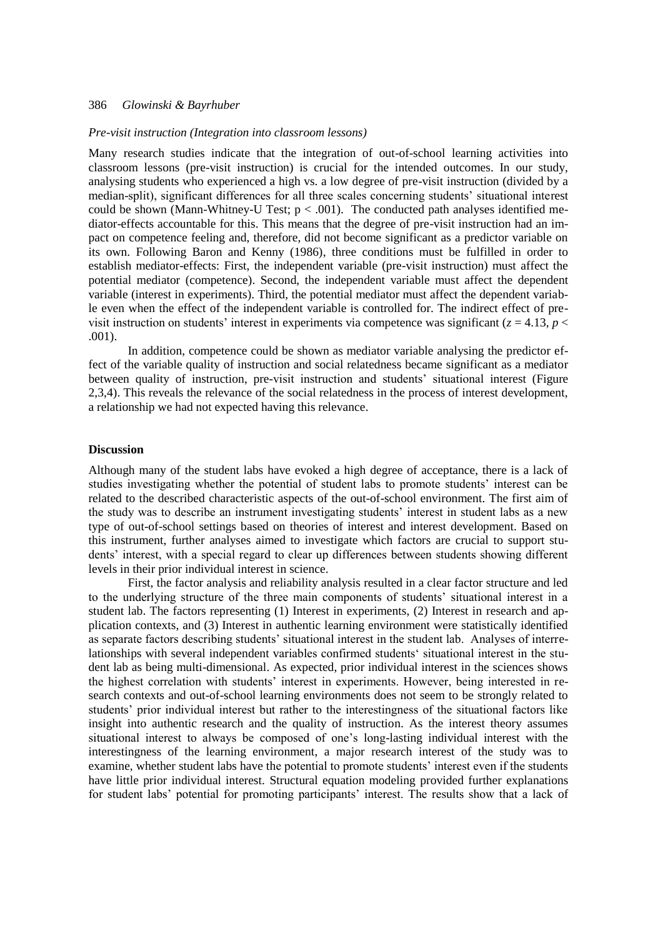#### *Pre-visit instruction (Integration into classroom lessons)*

Many research studies indicate that the integration of out-of-school learning activities into classroom lessons (pre-visit instruction) is crucial for the intended outcomes. In our study, analysing students who experienced a high vs. a low degree of pre-visit instruction (divided by a median-split), significant differences for all three scales concerning students" situational interest could be shown (Mann-Whitney-U Test;  $p < .001$ ). The conducted path analyses identified mediator-effects accountable for this. This means that the degree of pre-visit instruction had an impact on competence feeling and, therefore, did not become significant as a predictor variable on its own. Following Baron and Kenny (1986), three conditions must be fulfilled in order to establish mediator-effects: First, the independent variable (pre-visit instruction) must affect the potential mediator (competence). Second, the independent variable must affect the dependent variable (interest in experiments). Third, the potential mediator must affect the dependent variable even when the effect of the independent variable is controlled for. The indirect effect of previsit instruction on students' interest in experiments via competence was significant ( $z = 4.13$ ,  $p <$ .001).

In addition, competence could be shown as mediator variable analysing the predictor effect of the variable quality of instruction and social relatedness became significant as a mediator between quality of instruction, pre-visit instruction and students' situational interest (Figure 2,3,4). This reveals the relevance of the social relatedness in the process of interest development, a relationship we had not expected having this relevance.

#### **Discussion**

Although many of the student labs have evoked a high degree of acceptance, there is a lack of studies investigating whether the potential of student labs to promote students" interest can be related to the described characteristic aspects of the out-of-school environment. The first aim of the study was to describe an instrument investigating students" interest in student labs as a new type of out-of-school settings based on theories of interest and interest development. Based on this instrument, further analyses aimed to investigate which factors are crucial to support students' interest, with a special regard to clear up differences between students showing different levels in their prior individual interest in science.

First, the factor analysis and reliability analysis resulted in a clear factor structure and led to the underlying structure of the three main components of students" situational interest in a student lab. The factors representing (1) Interest in experiments, (2) Interest in research and application contexts, and (3) Interest in authentic learning environment were statistically identified as separate factors describing students' situational interest in the student lab. Analyses of interrelationships with several independent variables confirmed students" situational interest in the student lab as being multi-dimensional. As expected, prior individual interest in the sciences shows the highest correlation with students" interest in experiments. However, being interested in research contexts and out-of-school learning environments does not seem to be strongly related to students" prior individual interest but rather to the interestingness of the situational factors like insight into authentic research and the quality of instruction. As the interest theory assumes situational interest to always be composed of one"s long-lasting individual interest with the interestingness of the learning environment, a major research interest of the study was to examine, whether student labs have the potential to promote students' interest even if the students have little prior individual interest. Structural equation modeling provided further explanations for student labs' potential for promoting participants' interest. The results show that a lack of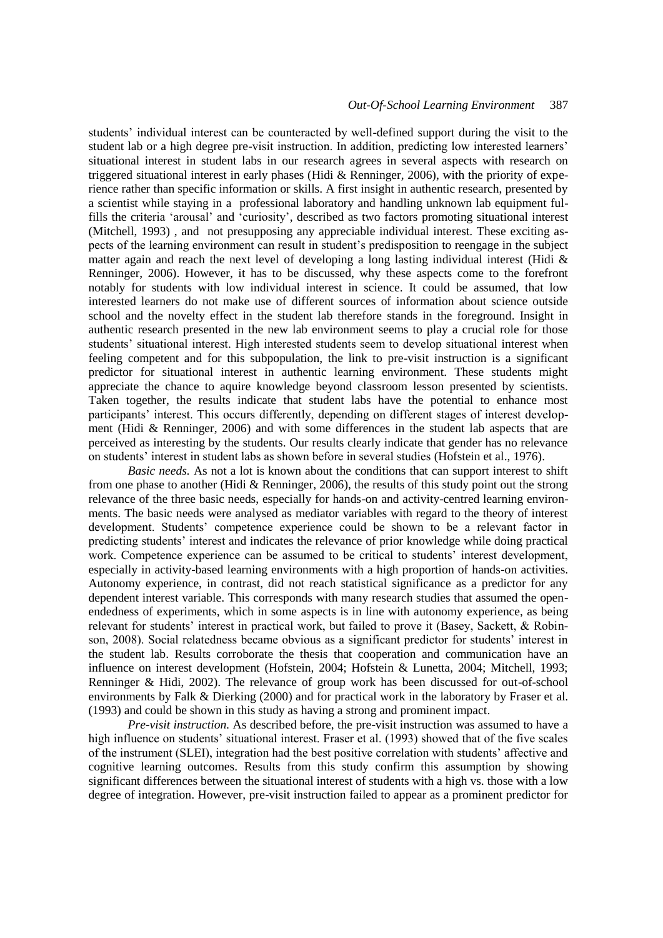students" individual interest can be counteracted by well-defined support during the visit to the student lab or a high degree pre-visit instruction. In addition, predicting low interested learners" situational interest in student labs in our research agrees in several aspects with research on triggered situational interest in early phases (Hidi & Renninger, 2006), with the priority of experience rather than specific information or skills. A first insight in authentic research, presented by a scientist while staying in a professional laboratory and handling unknown lab equipment fulfills the criteria 'arousal' and 'curiosity', described as two factors promoting situational interest (Mitchell, 1993) , and not presupposing any appreciable individual interest. These exciting aspects of the learning environment can result in student"s predisposition to reengage in the subject matter again and reach the next level of developing a long lasting individual interest (Hidi  $\&$ Renninger, 2006). However, it has to be discussed, why these aspects come to the forefront notably for students with low individual interest in science. It could be assumed, that low interested learners do not make use of different sources of information about science outside school and the novelty effect in the student lab therefore stands in the foreground. Insight in authentic research presented in the new lab environment seems to play a crucial role for those students" situational interest. High interested students seem to develop situational interest when feeling competent and for this subpopulation, the link to pre-visit instruction is a significant predictor for situational interest in authentic learning environment. These students might appreciate the chance to aquire knowledge beyond classroom lesson presented by scientists. Taken together, the results indicate that student labs have the potential to enhance most participants' interest. This occurs differently, depending on different stages of interest development (Hidi & Renninger, 2006) and with some differences in the student lab aspects that are perceived as interesting by the students. Our results clearly indicate that gender has no relevance on students' interest in student labs as shown before in several studies (Hofstein et al., 1976).

*Basic needs.* As not a lot is known about the conditions that can support interest to shift from one phase to another (Hidi & Renninger, 2006), the results of this study point out the strong relevance of the three basic needs, especially for hands-on and activity-centred learning environments. The basic needs were analysed as mediator variables with regard to the theory of interest development. Students" competence experience could be shown to be a relevant factor in predicting students' interest and indicates the relevance of prior knowledge while doing practical work. Competence experience can be assumed to be critical to students' interest development, especially in activity-based learning environments with a high proportion of hands-on activities. Autonomy experience, in contrast, did not reach statistical significance as a predictor for any dependent interest variable. This corresponds with many research studies that assumed the openendedness of experiments, which in some aspects is in line with autonomy experience, as being relevant for students' interest in practical work, but failed to prove it (Basey, Sackett, & Robinson, 2008). Social relatedness became obvious as a significant predictor for students' interest in the student lab. Results corroborate the thesis that cooperation and communication have an influence on interest development (Hofstein, 2004; Hofstein & Lunetta, 2004; Mitchell, 1993; Renninger & Hidi, 2002). The relevance of group work has been discussed for out-of-school environments by Falk & Dierking (2000) and for practical work in the laboratory by Fraser et al. (1993) and could be shown in this study as having a strong and prominent impact.

*Pre-visit instruction.* As described before, the pre-visit instruction was assumed to have a high influence on students' situational interest. Fraser et al. (1993) showed that of the five scales of the instrument (SLEI), integration had the best positive correlation with students" affective and cognitive learning outcomes. Results from this study confirm this assumption by showing significant differences between the situational interest of students with a high vs. those with a low degree of integration. However, pre-visit instruction failed to appear as a prominent predictor for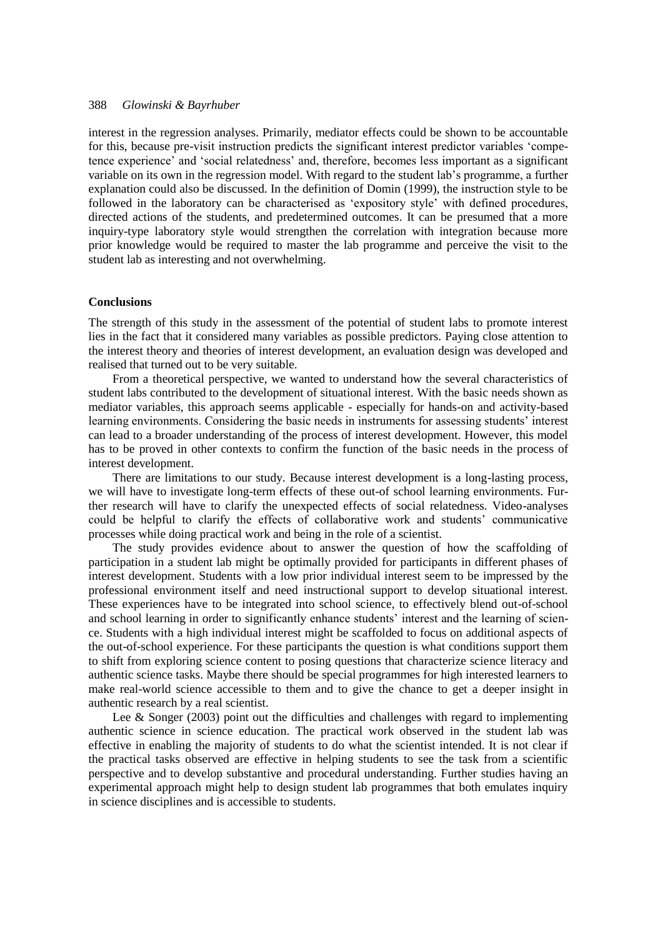interest in the regression analyses. Primarily, mediator effects could be shown to be accountable for this, because pre-visit instruction predicts the significant interest predictor variables "competence experience" and "social relatedness" and, therefore, becomes less important as a significant variable on its own in the regression model. With regard to the student lab"s programme, a further explanation could also be discussed. In the definition of Domin (1999), the instruction style to be followed in the laboratory can be characterised as "expository style" with defined procedures, directed actions of the students, and predetermined outcomes. It can be presumed that a more inquiry-type laboratory style would strengthen the correlation with integration because more prior knowledge would be required to master the lab programme and perceive the visit to the student lab as interesting and not overwhelming.

#### **Conclusions**

The strength of this study in the assessment of the potential of student labs to promote interest lies in the fact that it considered many variables as possible predictors. Paying close attention to the interest theory and theories of interest development, an evaluation design was developed and realised that turned out to be very suitable.

From a theoretical perspective, we wanted to understand how the several characteristics of student labs contributed to the development of situational interest. With the basic needs shown as mediator variables, this approach seems applicable - especially for hands-on and activity-based learning environments. Considering the basic needs in instruments for assessing students' interest can lead to a broader understanding of the process of interest development. However, this model has to be proved in other contexts to confirm the function of the basic needs in the process of interest development.

There are limitations to our study. Because interest development is a long-lasting process, we will have to investigate long-term effects of these out-of school learning environments. Further research will have to clarify the unexpected effects of social relatedness. Video-analyses could be helpful to clarify the effects of collaborative work and students" communicative processes while doing practical work and being in the role of a scientist.

The study provides evidence about to answer the question of how the scaffolding of participation in a student lab might be optimally provided for participants in different phases of interest development. Students with a low prior individual interest seem to be impressed by the professional environment itself and need instructional support to develop situational interest. These experiences have to be integrated into school science, to effectively blend out-of-school and school learning in order to significantly enhance students' interest and the learning of science. Students with a high individual interest might be scaffolded to focus on additional aspects of the out-of-school experience. For these participants the question is what conditions support them to shift from exploring science content to posing questions that characterize science literacy and authentic science tasks. Maybe there should be special programmes for high interested learners to make real-world science accessible to them and to give the chance to get a deeper insight in authentic research by a real scientist.

Lee & Songer  $(2003)$  point out the difficulties and challenges with regard to implementing authentic science in science education. The practical work observed in the student lab was effective in enabling the majority of students to do what the scientist intended. It is not clear if the practical tasks observed are effective in helping students to see the task from a scientific perspective and to develop substantive and procedural understanding. Further studies having an experimental approach might help to design student lab programmes that both emulates inquiry in science disciplines and is accessible to students.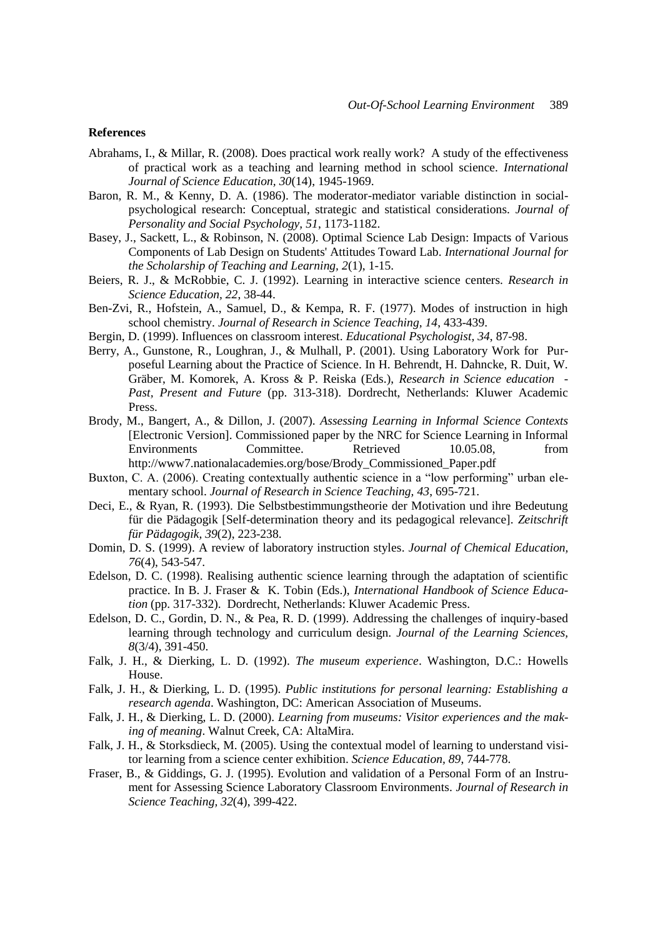#### **References**

- Abrahams, I., & Millar, R. (2008). Does practical work really work? A study of the effectiveness of practical work as a teaching and learning method in school science. *International Journal of Science Education, 30*(14), 1945-1969.
- Baron, R. M., & Kenny, D. A. (1986). The moderator-mediator variable distinction in socialpsychological research: Conceptual, strategic and statistical considerations. *Journal of Personality and Social Psychology, 51*, 1173-1182.
- Basey, J., Sackett, L., & Robinson, N. (2008). Optimal Science Lab Design: Impacts of Various Components of Lab Design on Students' Attitudes Toward Lab. *International Journal for the Scholarship of Teaching and Learning, 2*(1), 1-15.
- Beiers, R. J., & McRobbie, C. J. (1992). Learning in interactive science centers. *Research in Science Education, 22*, 38-44.
- Ben-Zvi, R., Hofstein, A., Samuel, D., & Kempa, R. F. (1977). Modes of instruction in high school chemistry. *Journal of Research in Science Teaching, 14*, 433-439.
- Bergin, D. (1999). Influences on classroom interest. *Educational Psychologist, 34*, 87-98.
- Berry, A., Gunstone, R., Loughran, J., & Mulhall, P. (2001). Using Laboratory Work for Purposeful Learning about the Practice of Science. In H. Behrendt, H. Dahncke, R. Duit, W. Gräber, M. Komorek, A. Kross & P. Reiska (Eds.), *Research in Science education - Past, Present and Future* (pp. 313-318). Dordrecht, Netherlands: Kluwer Academic Press.
- Brody, M., Bangert, A., & Dillon, J. (2007). *Assessing Learning in Informal Science Contexts* [Electronic Version]. Commissioned paper by the NRC for Science Learning in Informal Environments Committee. Retrieved 10.05.08, from http://www7.nationalacademies.org/bose/Brody\_Commissioned\_Paper.pdf
- Buxton, C. A. (2006). Creating contextually authentic science in a "low performing" urban elementary school. *Journal of Research in Science Teaching, 43*, 695-721.
- Deci, E., & Ryan, R. (1993). Die Selbstbestimmungstheorie der Motivation und ihre Bedeutung für die Pädagogik [Self-determination theory and its pedagogical relevance]. *Zeitschrift für Pädagogik, 39*(2), 223-238.
- Domin, D. S. (1999). A review of laboratory instruction styles. *Journal of Chemical Education, 76*(4), 543-547.
- Edelson, D. C. (1998). Realising authentic science learning through the adaptation of scientific practice. In B. J. Fraser & K. Tobin (Eds.), *International Handbook of Science Education* (pp. 317-332). Dordrecht, Netherlands: Kluwer Academic Press.
- Edelson, D. C., Gordin, D. N., & Pea, R. D. (1999). Addressing the challenges of inquiry-based learning through technology and curriculum design. *Journal of the Learning Sciences, 8*(3/4), 391-450.
- Falk, J. H., & Dierking, L. D. (1992). *The museum experience*. Washington, D.C.: Howells House.
- Falk, J. H., & Dierking, L. D. (1995). *Public institutions for personal learning: Establishing a research agenda*. Washington, DC: American Association of Museums.
- Falk, J. H., & Dierking, L. D. (2000). *Learning from museums: Visitor experiences and the making of meaning*. Walnut Creek, CA: AltaMira.
- Falk, J. H., & Storksdieck, M. (2005). Using the contextual model of learning to understand visitor learning from a science center exhibition. *Science Education, 89*, 744-778.
- Fraser, B., & Giddings, G. J. (1995). Evolution and validation of a Personal Form of an Instrument for Assessing Science Laboratory Classroom Environments. *Journal of Research in Science Teaching, 32*(4), 399-422.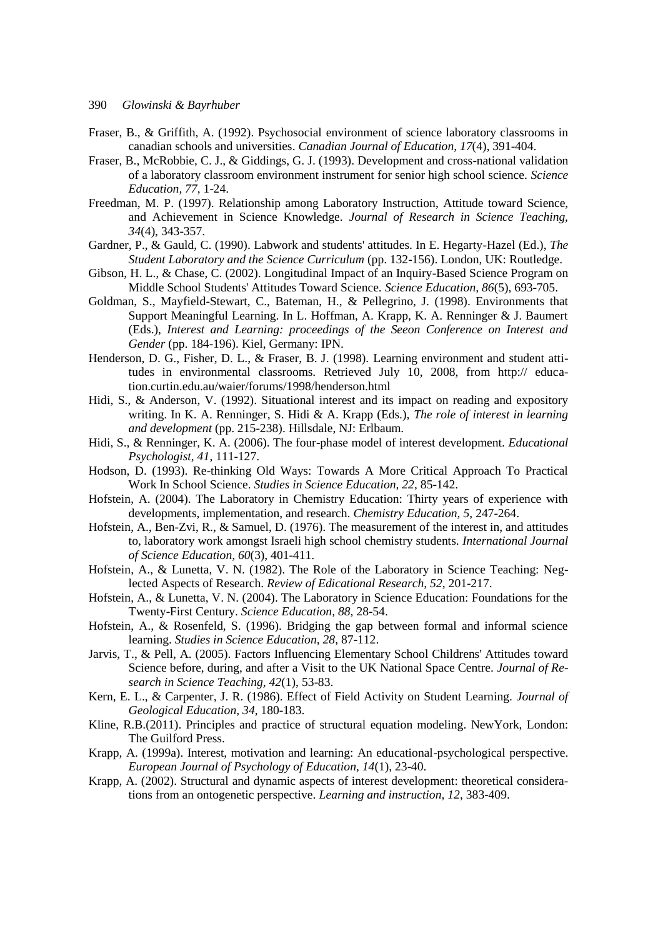- Fraser, B., & Griffith, A. (1992). Psychosocial environment of science laboratory classrooms in canadian schools and universities. *Canadian Journal of Education, 17*(4), 391-404.
- Fraser, B., McRobbie, C. J., & Giddings, G. J. (1993). Development and cross-national validation of a laboratory classroom environment instrument for senior high school science. *Science Education, 77*, 1-24.
- Freedman, M. P. (1997). Relationship among Laboratory Instruction, Attitude toward Science, and Achievement in Science Knowledge. *Journal of Research in Science Teaching, 34*(4), 343-357.
- Gardner, P., & Gauld, C. (1990). Labwork and students' attitudes. In E. Hegarty-Hazel (Ed.), *The Student Laboratory and the Science Curriculum* (pp. 132-156). London, UK: Routledge.
- Gibson, H. L., & Chase, C. (2002). Longitudinal Impact of an Inquiry-Based Science Program on Middle School Students' Attitudes Toward Science. *Science Education, 86*(5), 693-705.
- Goldman, S., Mayfield-Stewart, C., Bateman, H., & Pellegrino, J. (1998). Environments that Support Meaningful Learning. In L. Hoffman, A. Krapp, K. A. Renninger & J. Baumert (Eds.), *Interest and Learning: proceedings of the Seeon Conference on Interest and Gender* (pp. 184-196). Kiel, Germany: IPN.
- Henderson, D. G., Fisher, D. L., & Fraser, B. J. (1998). Learning environment and student attitudes in environmental classrooms. Retrieved July 10, 2008, from http:// education.curtin.edu.au/waier/forums/1998/henderson.html
- Hidi, S., & Anderson, V. (1992). Situational interest and its impact on reading and expository writing. In K. A. Renninger, S. Hidi & A. Krapp (Eds.), *The role of interest in learning and development* (pp. 215-238). Hillsdale, NJ: Erlbaum.
- Hidi, S., & Renninger, K. A. (2006). The four-phase model of interest development. *Educational Psychologist, 41*, 111-127.
- Hodson, D. (1993). Re-thinking Old Ways: Towards A More Critical Approach To Practical Work In School Science. *Studies in Science Education, 22*, 85-142.
- Hofstein, A. (2004). The Laboratory in Chemistry Education: Thirty years of experience with developments, implementation, and research. *Chemistry Education, 5*, 247-264.
- Hofstein, A., Ben-Zvi, R., & Samuel, D. (1976). The measurement of the interest in, and attitudes to, laboratory work amongst Israeli high school chemistry students. *International Journal of Science Education, 60*(3), 401-411.
- Hofstein, A., & Lunetta, V. N. (1982). The Role of the Laboratory in Science Teaching: Neglected Aspects of Research. *Review of Edicational Research, 52*, 201-217.
- Hofstein, A., & Lunetta, V. N. (2004). The Laboratory in Science Education: Foundations for the Twenty-First Century. *Science Education, 88*, 28-54.
- Hofstein, A., & Rosenfeld, S. (1996). Bridging the gap between formal and informal science learning. *Studies in Science Education, 28*, 87-112.
- Jarvis, T., & Pell, A. (2005). Factors Influencing Elementary School Childrens' Attitudes toward Science before, during, and after a Visit to the UK National Space Centre. *Journal of Research in Science Teaching, 42*(1), 53-83.
- Kern, E. L., & Carpenter, J. R. (1986). Effect of Field Activity on Student Learning. *Journal of Geological Education, 34*, 180-183.
- Kline, R.B.(2011). Principles and practice of structural equation modeling. NewYork, London: The Guilford Press.
- Krapp, A. (1999a). Interest, motivation and learning: An educational-psychological perspective. *European Journal of Psychology of Education, 14*(1), 23-40.
- Krapp, A. (2002). Structural and dynamic aspects of interest development: theoretical considerations from an ontogenetic perspective. *Learning and instruction, 12*, 383-409.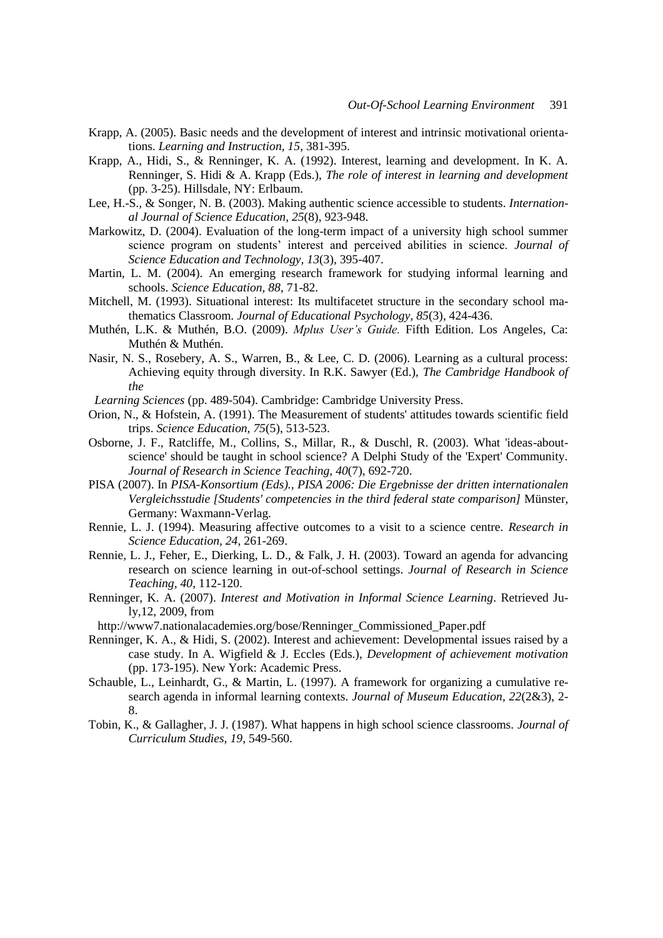- Krapp, A. (2005). Basic needs and the development of interest and intrinsic motivational orientations. *Learning and Instruction, 15*, 381-395.
- Krapp, A., Hidi, S., & Renninger, K. A. (1992). Interest, learning and development. In K. A. Renninger, S. Hidi & A. Krapp (Eds.), *The role of interest in learning and development* (pp. 3-25). Hillsdale, NY: Erlbaum.
- Lee, H.-S., & Songer, N. B. (2003). Making authentic science accessible to students. *International Journal of Science Education, 25*(8), 923-948.
- Markowitz, D. (2004). Evaluation of the long-term impact of a university high school summer science program on students' interest and perceived abilities in science. *Journal of Science Education and Technology, 13*(3), 395-407.
- Martin, L. M. (2004). An emerging research framework for studying informal learning and schools. *Science Education, 88*, 71-82.
- Mitchell, M. (1993). Situational interest: Its multifacetet structure in the secondary school mathematics Classroom. *Journal of Educational Psychology, 85*(3), 424-436.
- Muthén, L.K. & Muthén, B.O. (2009). *Mplus User's Guide.* Fifth Edition. Los Angeles, Ca: Muthén & Muthén.
- Nasir, N. S., Rosebery, A. S., Warren, B., & Lee, C. D. (2006). Learning as a cultural process: Achieving equity through diversity. In R.K. Sawyer (Ed.), *The Cambridge Handbook of the*

 *Learning Sciences* (pp. 489-504). Cambridge: Cambridge University Press.

- Orion, N., & Hofstein, A. (1991). The Measurement of students' attitudes towards scientific field trips. *Science Education, 75*(5), 513-523.
- Osborne, J. F., Ratcliffe, M., Collins, S., Millar, R., & Duschl, R. (2003). What 'ideas-aboutscience' should be taught in school science? A Delphi Study of the 'Expert' Community. *Journal of Research in Science Teaching, 40*(7), 692-720.
- PISA (2007). In *PISA-Konsortium (Eds)., PISA 2006: Die Ergebnisse der dritten internationalen Vergleichsstudie [Students' competencies in the third federal state comparison]* Münster, Germany: Waxmann-Verlag.
- Rennie, L. J. (1994). Measuring affective outcomes to a visit to a science centre. *Research in Science Education, 24*, 261-269.
- Rennie, L. J., Feher, E., Dierking, L. D., & Falk, J. H. (2003). Toward an agenda for advancing research on science learning in out-of-school settings. *Journal of Research in Science Teaching, 40*, 112-120.
- Renninger, K. A. (2007). *Interest and Motivation in Informal Science Learning*. Retrieved July,12, 2009, from
- http://www7.nationalacademies.org/bose/Renninger\_Commissioned\_Paper.pdf
- Renninger, K. A., & Hidi, S. (2002). Interest and achievement: Developmental issues raised by a case study. In A. Wigfield & J. Eccles (Eds.), *Development of achievement motivation* (pp. 173-195). New York: Academic Press.
- Schauble, L., Leinhardt, G., & Martin, L. (1997). A framework for organizing a cumulative research agenda in informal learning contexts. *Journal of Museum Education, 22*(2&3), 2- 8.
- Tobin, K., & Gallagher, J. J. (1987). What happens in high school science classrooms. *Journal of Curriculum Studies, 19*, 549-560.